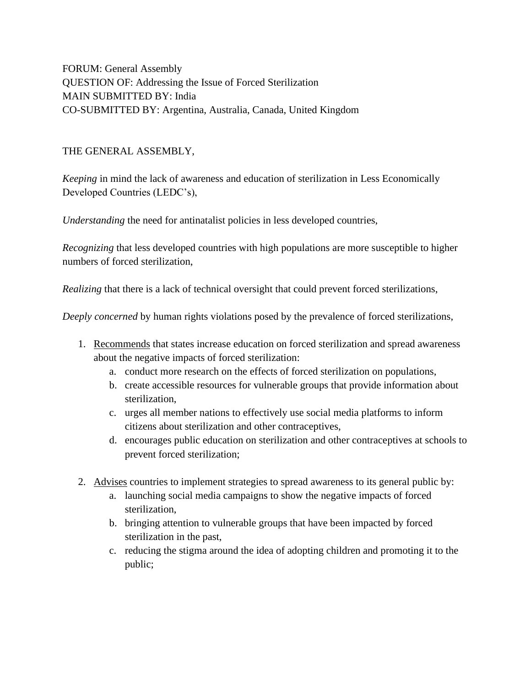FORUM: General Assembly QUESTION OF: Addressing the Issue of Forced Sterilization MAIN SUBMITTED BY: India CO-SUBMITTED BY: Argentina, Australia, Canada, United Kingdom

## THE GENERAL ASSEMBLY,

*Keeping* in mind the lack of awareness and education of sterilization in Less Economically Developed Countries (LEDC's),

*Understanding* the need for antinatalist policies in less developed countries,

*Recognizing* that less developed countries with high populations are more susceptible to higher numbers of forced sterilization,

*Realizing* that there is a lack of technical oversight that could prevent forced sterilizations,

*Deeply concerned* by human rights violations posed by the prevalence of forced sterilizations,

- 1. Recommends that states increase education on forced sterilization and spread awareness about the negative impacts of forced sterilization:
	- a. conduct more research on the effects of forced sterilization on populations,
	- b. create accessible resources for vulnerable groups that provide information about sterilization,
	- c. urges all member nations to effectively use social media platforms to inform citizens about sterilization and other contraceptives,
	- d. encourages public education on sterilization and other contraceptives at schools to prevent forced sterilization;
- 2. Advises countries to implement strategies to spread awareness to its general public by:
	- a. launching social media campaigns to show the negative impacts of forced sterilization,
	- b. bringing attention to vulnerable groups that have been impacted by forced sterilization in the past,
	- c. reducing the stigma around the idea of adopting children and promoting it to the public;